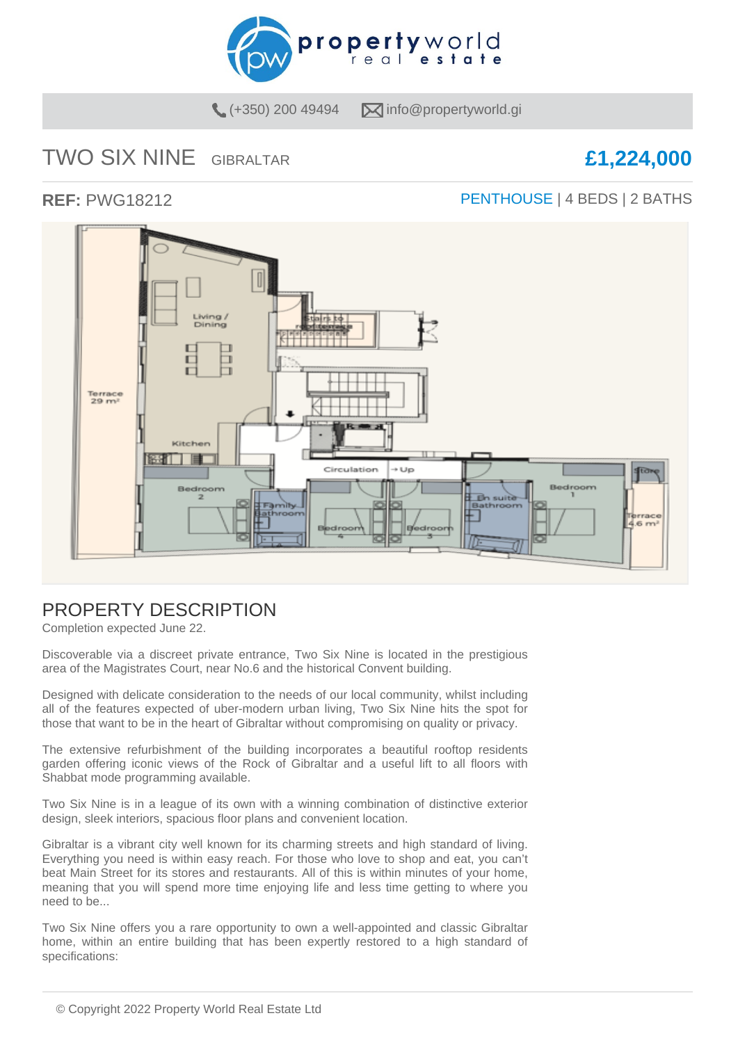

 $(+350)$  200 49494  $\sqrt{\phantom{a}}$  info@propertyworld.gi

# TWO SIX NINE GIBRALTAR **£1,224,000**

### **REF:** PWG18212 **PENTHOUSE** | 4 BEDS | 2 BATHS



# PROPERTY DESCRIPTION

Completion expected June 22.

Discoverable via a discreet private entrance, Two Six Nine is located in the prestigious area of the Magistrates Court, near No.6 and the historical Convent building.

Designed with delicate consideration to the needs of our local community, whilst including all of the features expected of uber-modern urban living, Two Six Nine hits the spot for those that want to be in the heart of Gibraltar without compromising on quality or privacy.

The extensive refurbishment of the building incorporates a beautiful rooftop residents garden offering iconic views of the Rock of Gibraltar and a useful lift to all floors with Shabbat mode programming available.

Two Six Nine is in a league of its own with a winning combination of distinctive exterior design, sleek interiors, spacious floor plans and convenient location.

Gibraltar is a vibrant city well known for its charming streets and high standard of living. Everything you need is within easy reach. For those who love to shop and eat, you can't beat Main Street for its stores and restaurants. All of this is within minutes of your home, meaning that you will spend more time enjoying life and less time getting to where you need to be...

Two Six Nine offers you a rare opportunity to own a well-appointed and classic Gibraltar home, within an entire building that has been expertly restored to a high standard of specifications: